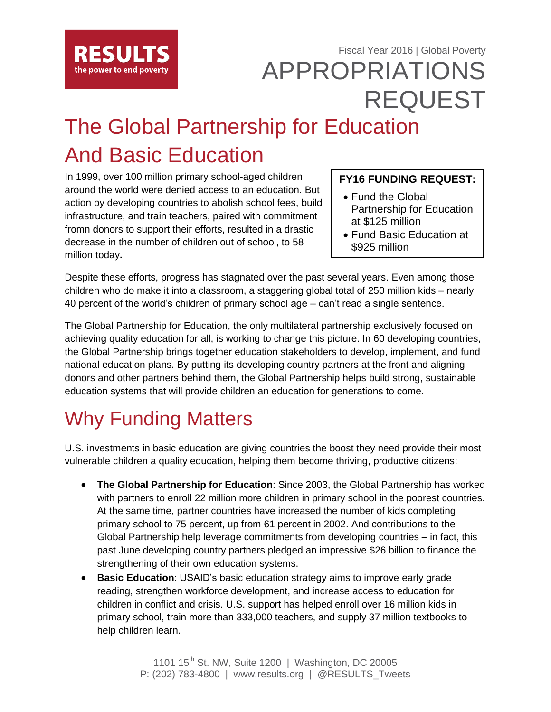

### Fiscal Year 2016 | Global Poverty APPROPRIATIONS REQUEST

# The Global Partnership for Education And Basic Education

In 1999, over 100 million primary school-aged children around the world were denied access to an education. But action by developing countries to abolish school fees, build infrastructure, and train teachers, paired with commitment fromn donors to support their efforts, resulted in a drastic decrease in the number of children out of school, to 58 million today**.** 

#### **FY16 FUNDING REQUEST:**

- Fund the Global Partnership for Education at \$125 million
- Fund Basic Education at \$925 million

Despite these efforts, progress has stagnated over the past several years. Even among those children who do make it into a classroom, a staggering global total of 250 million kids – nearly 40 percent of the world's children of primary school age – can't read a single sentence.

The Global Partnership for Education, the only multilateral partnership exclusively focused on achieving quality education for all, is working to change this picture. In 60 developing countries, the Global Partnership brings together education stakeholders to develop, implement, and fund national education plans. By putting its developing country partners at the front and aligning donors and other partners behind them, the Global Partnership helps build strong, sustainable education systems that will provide children an education for generations to come.

## Why Funding Matters

U.S. investments in basic education are giving countries the boost they need provide their most vulnerable children a quality education, helping them become thriving, productive citizens:

- **The Global Partnership for Education**: Since 2003, the Global Partnership has worked with partners to enroll 22 million more children in primary school in the poorest countries. At the same time, partner countries have increased the number of kids completing primary school to 75 percent, up from 61 percent in 2002. And contributions to the Global Partnership help leverage commitments from developing countries – in fact, this past June developing country partners pledged an impressive \$26 billion to finance the strengthening of their own education systems.
- **Basic Education**: USAID's basic education strategy aims to improve early grade reading, strengthen workforce development, and increase access to education for children in conflict and crisis. U.S. support has helped enroll over 16 million kids in primary school, train more than 333,000 teachers, and supply 37 million textbooks to help children learn.